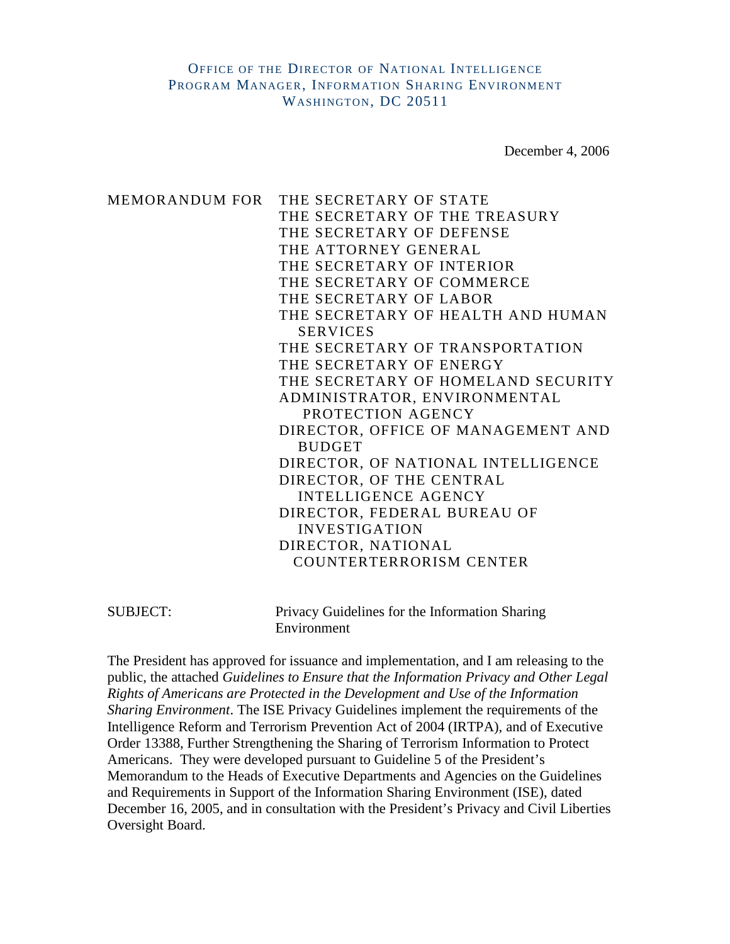December 4, 2006

MEMORANDUM FOR THE SECRETARY OF STATE THE SECRETARY OF THE TREASURY THE SECRETARY OF DEFENSE THE ATTORNEY GENERAL THE SECRETARY OF INTERIOR THE SECRETARY OF COMMERCE THE SECRETARY OF LABOR THE SECRETARY OF HEALTH AND HUMAN **SERVICES** THE SECRETARY OF TRANSPORTATION THE SECRETARY OF ENERGY THE SECRETARY OF HOMELAND SECURITY ADMINISTRATOR, ENVIRONMENTAL PROTECTION AGENCY DIRECTOR, OFFICE OF MANAGEMENT AND BUDGET DIRECTOR, OF NATIONAL INTELLIGENCE DIRECTOR, OF THE CENTRAL INTELLIGENCE AGENCY DIRECTOR, FEDERAL BUREAU OF INVESTIGATION DIRECTOR, NATIONAL COUNTERTERRORISM CENTER

SUBJECT: Privacy Guidelines for the Information Sharing Environment

The President has approved for issuance and implementation, and I am releasing to the public, the attached *Guidelines to Ensure that the Information Privacy and Other Legal Rights of Americans are Protected in the Development and Use of the Information Sharing Environment*. The ISE Privacy Guidelines implement the requirements of the Intelligence Reform and Terrorism Prevention Act of 2004 (IRTPA), and of Executive Order 13388, Further Strengthening the Sharing of Terrorism Information to Protect Americans. They were developed pursuant to Guideline 5 of the President's Memorandum to the Heads of Executive Departments and Agencies on the Guidelines and Requirements in Support of the Information Sharing Environment (ISE), dated December 16, 2005, and in consultation with the President's Privacy and Civil Liberties Oversight Board.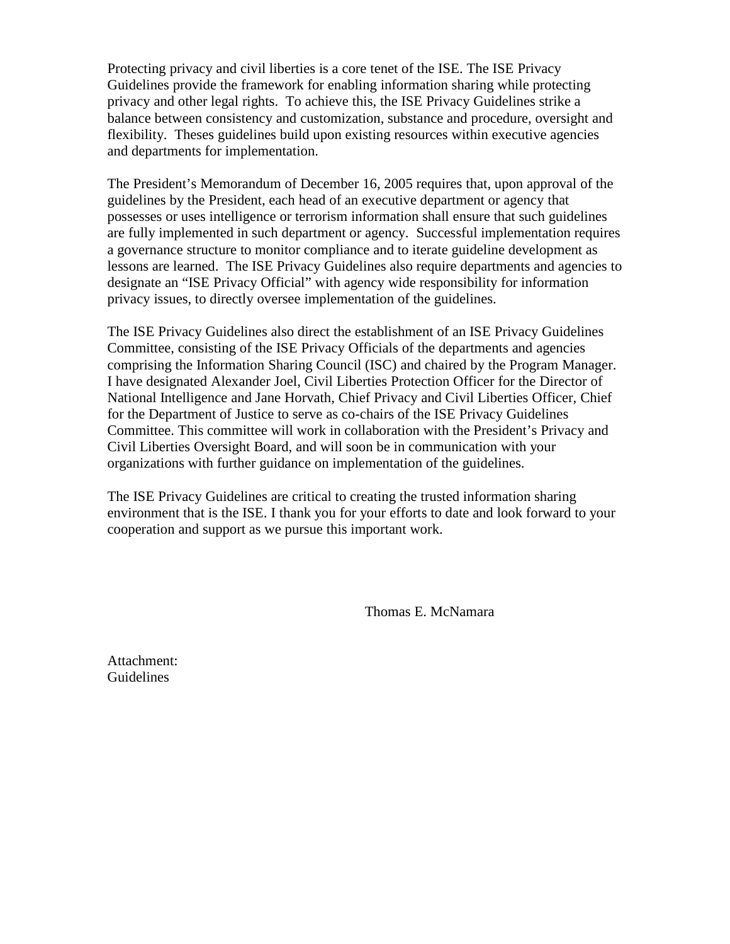Protecting privacy and civil liberties is a core tenet of the ISE. The ISE Privacy Guidelines provide the framework for enabling information sharing while protecting privacy and other legal rights. To achieve this, the ISE Privacy Guidelines strike a balance between consistency and customization, substance and procedure, oversight and flexibility. Theses guidelines build upon existing resources within executive agencies and departments for implementation.

The President's Memorandum of December 16, 2005 requires that, upon approval of the guidelines by the President, each head of an executive department or agency that possesses or uses intelligence or terrorism information shall ensure that such guidelines are fully implemented in such department or agency. Successful implementation requires a governance structure to monitor compliance and to iterate guideline development as lessons are learned. The ISE Privacy Guidelines also require departments and agencies to designate an "ISE Privacy Official" with agency wide responsibility for information privacy issues, to directly oversee implementation of the guidelines.

The ISE Privacy Guidelines also direct the establishment of an ISE Privacy Guidelines Committee, consisting of the ISE Privacy Officials of the departments and agencies comprising the Information Sharing Council (ISC) and chaired by the Program Manager. I have designated Alexander Joel, Civil Liberties Protection Officer for the Director of National Intelligence and Jane Horvath, Chief Privacy and Civil Liberties Officer, Chief for the Department of Justice to serve as co-chairs of the ISE Privacy Guidelines Committee. This committee will work in collaboration with the President's Privacy and Civil Liberties Oversight Board, and will soon be in communication with your organizations with further guidance on implementation of the guidelines.

The ISE Privacy Guidelines are critical to creating the trusted information sharing environment that is the ISE. I thank you for your efforts to date and look forward to your cooperation and support as we pursue this important work.

Thomas E. McNamara

Attachment: Guidelines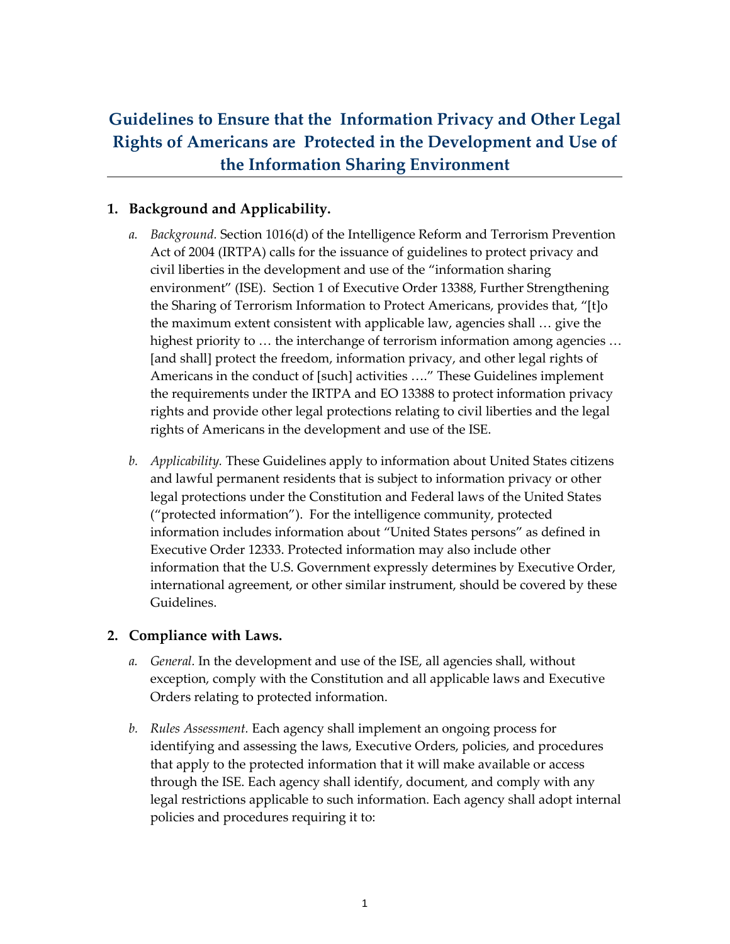# Guidelines to Ensure that the Information Privacy and Other Legal Rights of Americans are Protected in the Development and Use of the Information Sharing Environment

# 1. Background and Applicability.

- a. Background. Section 1016(d) of the Intelligence Reform and Terrorism Prevention Act of 2004 (IRTPA) calls for the issuance of guidelines to protect privacy and civil liberties in the development and use of the "information sharing environment" (ISE). Section 1 of Executive Order 13388, Further Strengthening the Sharing of Terrorism Information to Protect Americans, provides that, "[t]o the maximum extent consistent with applicable law, agencies shall … give the highest priority to … the interchange of terrorism information among agencies … [and shall] protect the freedom, information privacy, and other legal rights of Americans in the conduct of [such] activities …." These Guidelines implement the requirements under the IRTPA and EO 13388 to protect information privacy rights and provide other legal protections relating to civil liberties and the legal rights of Americans in the development and use of the ISE.
- b. Applicability. These Guidelines apply to information about United States citizens and lawful permanent residents that is subject to information privacy or other legal protections under the Constitution and Federal laws of the United States ("protected information"). For the intelligence community, protected information includes information about "United States persons" as defined in Executive Order 12333. Protected information may also include other information that the U.S. Government expressly determines by Executive Order, international agreement, or other similar instrument, should be covered by these Guidelines.

## 2. Compliance with Laws.

- a. General. In the development and use of the ISE, all agencies shall, without exception, comply with the Constitution and all applicable laws and Executive Orders relating to protected information.
- b. Rules Assessment. Each agency shall implement an ongoing process for identifying and assessing the laws, Executive Orders, policies, and procedures that apply to the protected information that it will make available or access through the ISE. Each agency shall identify, document, and comply with any legal restrictions applicable to such information. Each agency shall adopt internal policies and procedures requiring it to: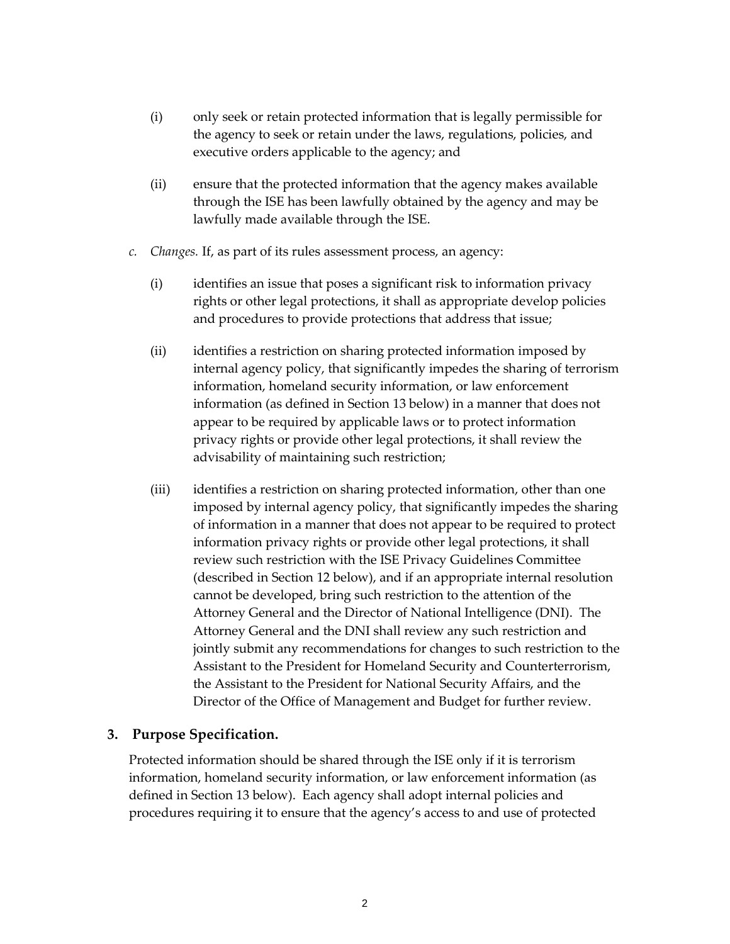- (i) only seek or retain protected information that is legally permissible for the agency to seek or retain under the laws, regulations, policies, and executive orders applicable to the agency; and
- (ii) ensure that the protected information that the agency makes available through the ISE has been lawfully obtained by the agency and may be lawfully made available through the ISE.
- c. Changes. If, as part of its rules assessment process, an agency:
	- (i) identifies an issue that poses a significant risk to information privacy rights or other legal protections, it shall as appropriate develop policies and procedures to provide protections that address that issue;
	- (ii) identifies a restriction on sharing protected information imposed by internal agency policy, that significantly impedes the sharing of terrorism information, homeland security information, or law enforcement information (as defined in Section 13 below) in a manner that does not appear to be required by applicable laws or to protect information privacy rights or provide other legal protections, it shall review the advisability of maintaining such restriction;
	- (iii) identifies a restriction on sharing protected information, other than one imposed by internal agency policy, that significantly impedes the sharing of information in a manner that does not appear to be required to protect information privacy rights or provide other legal protections, it shall review such restriction with the ISE Privacy Guidelines Committee (described in Section 12 below), and if an appropriate internal resolution cannot be developed, bring such restriction to the attention of the Attorney General and the Director of National Intelligence (DNI). The Attorney General and the DNI shall review any such restriction and jointly submit any recommendations for changes to such restriction to the Assistant to the President for Homeland Security and Counterterrorism, the Assistant to the President for National Security Affairs, and the Director of the Office of Management and Budget for further review.

## 3. Purpose Specification.

Protected information should be shared through the ISE only if it is terrorism information, homeland security information, or law enforcement information (as defined in Section 13 below). Each agency shall adopt internal policies and procedures requiring it to ensure that the agency's access to and use of protected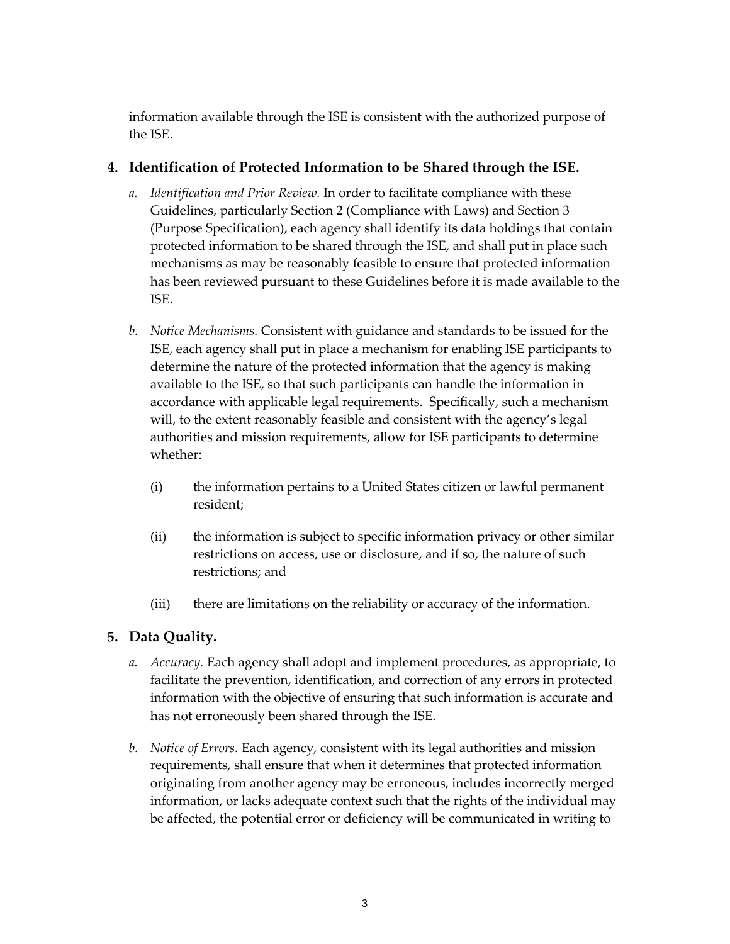information available through the ISE is consistent with the authorized purpose of the ISE.

# 4. Identification of Protected Information to be Shared through the ISE.

- a. Identification and Prior Review. In order to facilitate compliance with these Guidelines, particularly Section 2 (Compliance with Laws) and Section 3 (Purpose Specification), each agency shall identify its data holdings that contain protected information to be shared through the ISE, and shall put in place such mechanisms as may be reasonably feasible to ensure that protected information has been reviewed pursuant to these Guidelines before it is made available to the ISE.
- b. Notice Mechanisms. Consistent with guidance and standards to be issued for the ISE, each agency shall put in place a mechanism for enabling ISE participants to determine the nature of the protected information that the agency is making available to the ISE, so that such participants can handle the information in accordance with applicable legal requirements. Specifically, such a mechanism will, to the extent reasonably feasible and consistent with the agency's legal authorities and mission requirements, allow for ISE participants to determine whether:
	- (i) the information pertains to a United States citizen or lawful permanent resident;
	- (ii) the information is subject to specific information privacy or other similar restrictions on access, use or disclosure, and if so, the nature of such restrictions; and
	- (iii) there are limitations on the reliability or accuracy of the information.

# 5. Data Quality.

- a. Accuracy. Each agency shall adopt and implement procedures, as appropriate, to facilitate the prevention, identification, and correction of any errors in protected information with the objective of ensuring that such information is accurate and has not erroneously been shared through the ISE.
- b. Notice of Errors. Each agency, consistent with its legal authorities and mission requirements, shall ensure that when it determines that protected information originating from another agency may be erroneous, includes incorrectly merged information, or lacks adequate context such that the rights of the individual may be affected, the potential error or deficiency will be communicated in writing to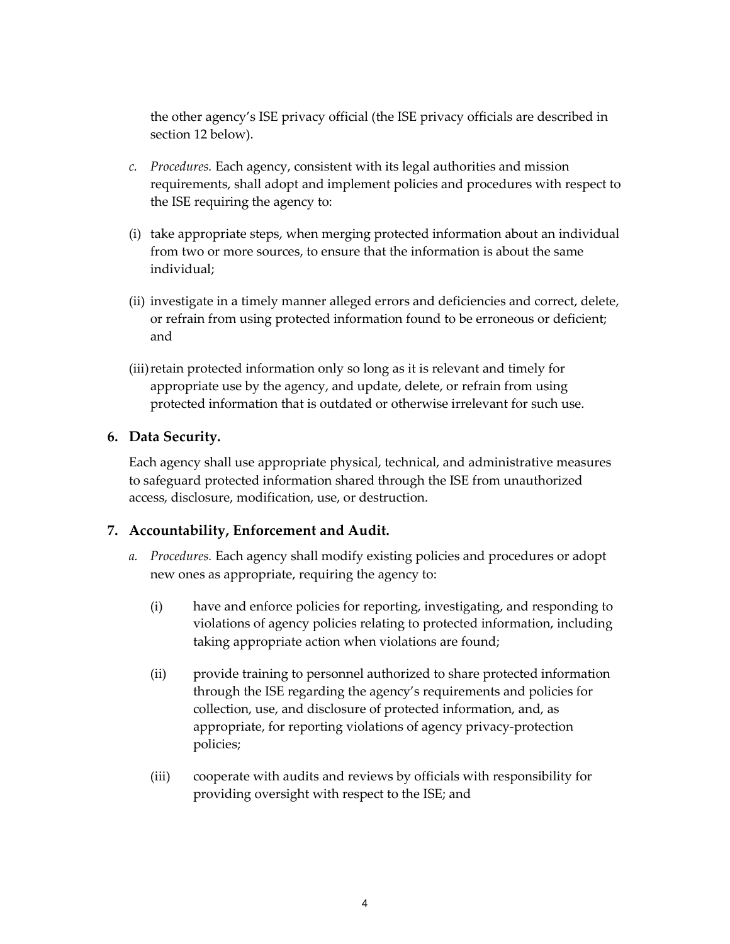the other agency's ISE privacy official (the ISE privacy officials are described in section 12 below).

- c. Procedures. Each agency, consistent with its legal authorities and mission requirements, shall adopt and implement policies and procedures with respect to the ISE requiring the agency to:
- (i) take appropriate steps, when merging protected information about an individual from two or more sources, to ensure that the information is about the same individual;
- (ii) investigate in a timely manner alleged errors and deficiencies and correct, delete, or refrain from using protected information found to be erroneous or deficient; and
- (iii)retain protected information only so long as it is relevant and timely for appropriate use by the agency, and update, delete, or refrain from using protected information that is outdated or otherwise irrelevant for such use.

## 6. Data Security.

Each agency shall use appropriate physical, technical, and administrative measures to safeguard protected information shared through the ISE from unauthorized access, disclosure, modification, use, or destruction.

## 7. Accountability, Enforcement and Audit.

- a. Procedures. Each agency shall modify existing policies and procedures or adopt new ones as appropriate, requiring the agency to:
	- (i) have and enforce policies for reporting, investigating, and responding to violations of agency policies relating to protected information, including taking appropriate action when violations are found;
	- (ii) provide training to personnel authorized to share protected information through the ISE regarding the agency's requirements and policies for collection, use, and disclosure of protected information, and, as appropriate, for reporting violations of agency privacy-protection policies;
	- (iii) cooperate with audits and reviews by officials with responsibility for providing oversight with respect to the ISE; and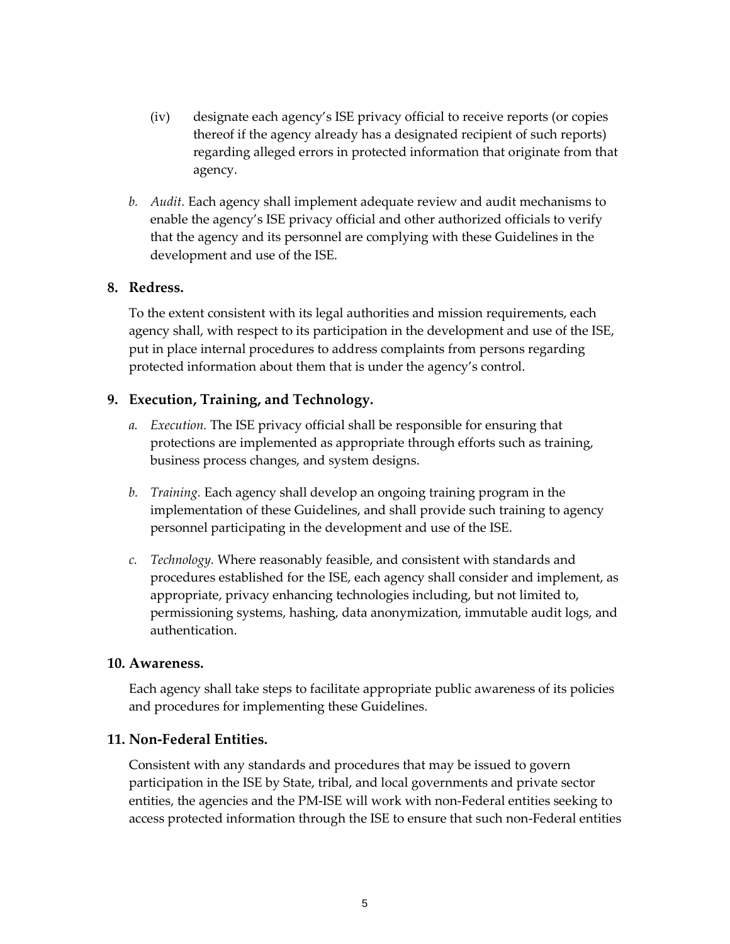- (iv) designate each agency's ISE privacy official to receive reports (or copies thereof if the agency already has a designated recipient of such reports) regarding alleged errors in protected information that originate from that agency.
- b. Audit. Each agency shall implement adequate review and audit mechanisms to enable the agency's ISE privacy official and other authorized officials to verify that the agency and its personnel are complying with these Guidelines in the development and use of the ISE.

#### 8. Redress.

To the extent consistent with its legal authorities and mission requirements, each agency shall, with respect to its participation in the development and use of the ISE, put in place internal procedures to address complaints from persons regarding protected information about them that is under the agency's control.

## 9. Execution, Training, and Technology.

- a. Execution. The ISE privacy official shall be responsible for ensuring that protections are implemented as appropriate through efforts such as training, business process changes, and system designs.
- b. Training. Each agency shall develop an ongoing training program in the implementation of these Guidelines, and shall provide such training to agency personnel participating in the development and use of the ISE.
- c. Technology. Where reasonably feasible, and consistent with standards and procedures established for the ISE, each agency shall consider and implement, as appropriate, privacy enhancing technologies including, but not limited to, permissioning systems, hashing, data anonymization, immutable audit logs, and authentication.

#### 10. Awareness.

Each agency shall take steps to facilitate appropriate public awareness of its policies and procedures for implementing these Guidelines.

## 11. Non-Federal Entities.

Consistent with any standards and procedures that may be issued to govern participation in the ISE by State, tribal, and local governments and private sector entities, the agencies and the PM-ISE will work with non-Federal entities seeking to access protected information through the ISE to ensure that such non-Federal entities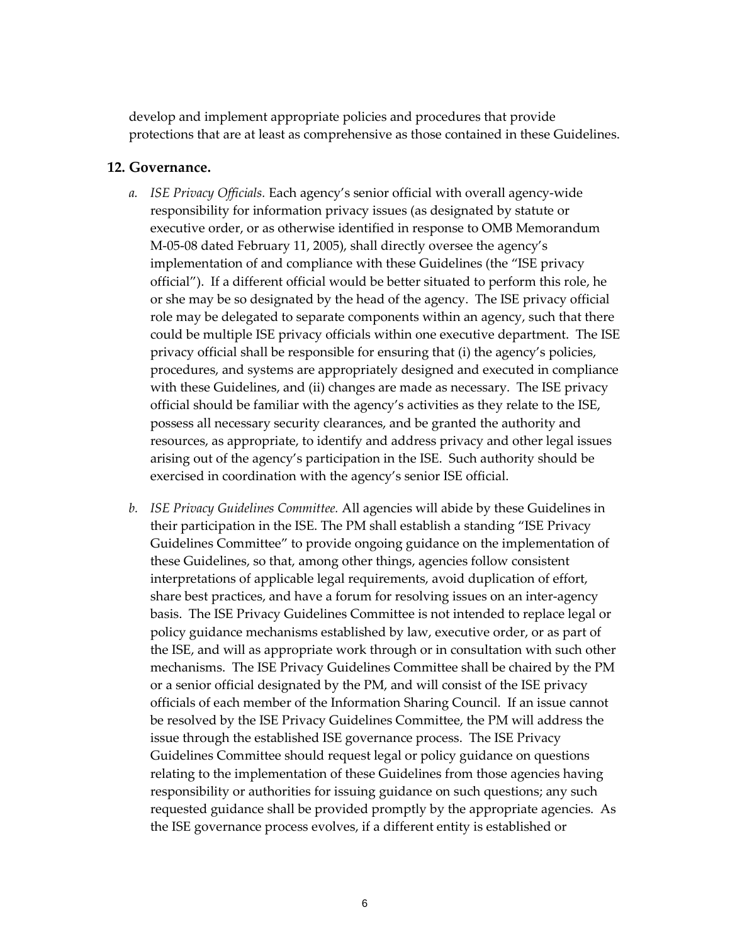develop and implement appropriate policies and procedures that provide protections that are at least as comprehensive as those contained in these Guidelines.

#### 12. Governance.

- a. ISE Privacy Officials. Each agency's senior official with overall agency-wide responsibility for information privacy issues (as designated by statute or executive order, or as otherwise identified in response to OMB Memorandum M-05-08 dated February 11, 2005), shall directly oversee the agency's implementation of and compliance with these Guidelines (the "ISE privacy official"). If a different official would be better situated to perform this role, he or she may be so designated by the head of the agency. The ISE privacy official role may be delegated to separate components within an agency, such that there could be multiple ISE privacy officials within one executive department. The ISE privacy official shall be responsible for ensuring that (i) the agency's policies, procedures, and systems are appropriately designed and executed in compliance with these Guidelines, and (ii) changes are made as necessary. The ISE privacy official should be familiar with the agency's activities as they relate to the ISE, possess all necessary security clearances, and be granted the authority and resources, as appropriate, to identify and address privacy and other legal issues arising out of the agency's participation in the ISE. Such authority should be exercised in coordination with the agency's senior ISE official.
- b. ISE Privacy Guidelines Committee. All agencies will abide by these Guidelines in their participation in the ISE. The PM shall establish a standing "ISE Privacy Guidelines Committee" to provide ongoing guidance on the implementation of these Guidelines, so that, among other things, agencies follow consistent interpretations of applicable legal requirements, avoid duplication of effort, share best practices, and have a forum for resolving issues on an inter-agency basis. The ISE Privacy Guidelines Committee is not intended to replace legal or policy guidance mechanisms established by law, executive order, or as part of the ISE, and will as appropriate work through or in consultation with such other mechanisms. The ISE Privacy Guidelines Committee shall be chaired by the PM or a senior official designated by the PM, and will consist of the ISE privacy officials of each member of the Information Sharing Council. If an issue cannot be resolved by the ISE Privacy Guidelines Committee, the PM will address the issue through the established ISE governance process. The ISE Privacy Guidelines Committee should request legal or policy guidance on questions relating to the implementation of these Guidelines from those agencies having responsibility or authorities for issuing guidance on such questions; any such requested guidance shall be provided promptly by the appropriate agencies. As the ISE governance process evolves, if a different entity is established or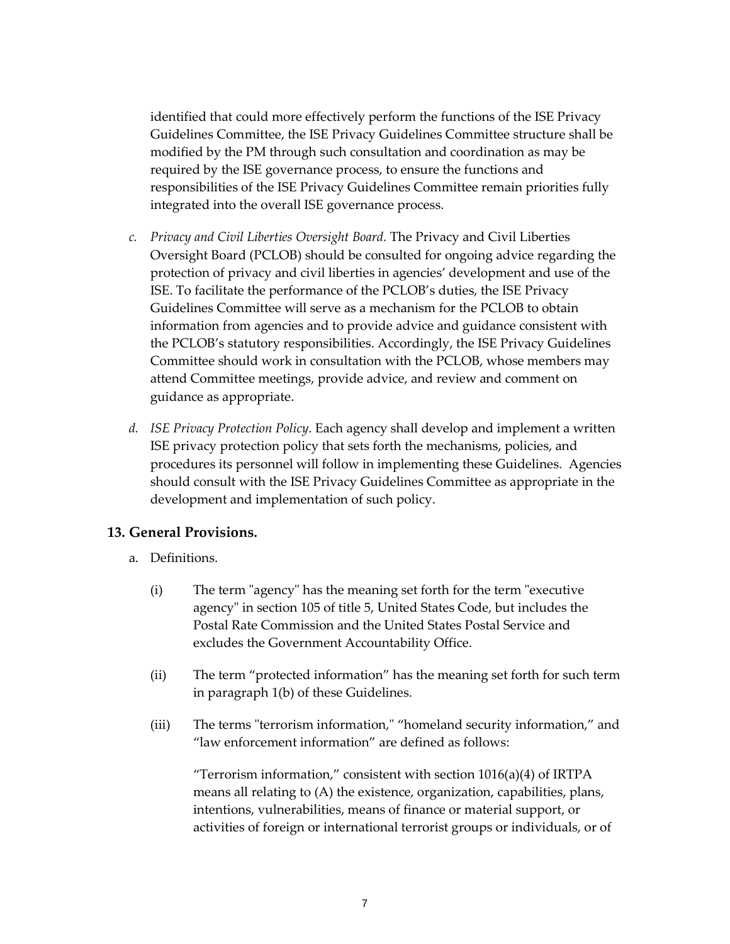identified that could more effectively perform the functions of the ISE Privacy Guidelines Committee, the ISE Privacy Guidelines Committee structure shall be modified by the PM through such consultation and coordination as may be required by the ISE governance process, to ensure the functions and responsibilities of the ISE Privacy Guidelines Committee remain priorities fully integrated into the overall ISE governance process.

- c. Privacy and Civil Liberties Oversight Board. The Privacy and Civil Liberties Oversight Board (PCLOB) should be consulted for ongoing advice regarding the protection of privacy and civil liberties in agencies' development and use of the ISE. To facilitate the performance of the PCLOB's duties, the ISE Privacy Guidelines Committee will serve as a mechanism for the PCLOB to obtain information from agencies and to provide advice and guidance consistent with the PCLOB's statutory responsibilities. Accordingly, the ISE Privacy Guidelines Committee should work in consultation with the PCLOB, whose members may attend Committee meetings, provide advice, and review and comment on guidance as appropriate.
- d. ISE Privacy Protection Policy. Each agency shall develop and implement a written ISE privacy protection policy that sets forth the mechanisms, policies, and procedures its personnel will follow in implementing these Guidelines. Agencies should consult with the ISE Privacy Guidelines Committee as appropriate in the development and implementation of such policy.

## 13. General Provisions.

- a. Definitions.
	- (i) The term "agency" has the meaning set forth for the term "executive agency" in section 105 of title 5, United States Code, but includes the Postal Rate Commission and the United States Postal Service and excludes the Government Accountability Office.
	- (ii) The term "protected information" has the meaning set forth for such term in paragraph 1(b) of these Guidelines.
	- (iii) The terms "terrorism information," "homeland security information," and "law enforcement information" are defined as follows:

"Terrorism information," consistent with section  $1016(a)(4)$  of IRTPA means all relating to (A) the existence, organization, capabilities, plans, intentions, vulnerabilities, means of finance or material support, or activities of foreign or international terrorist groups or individuals, or of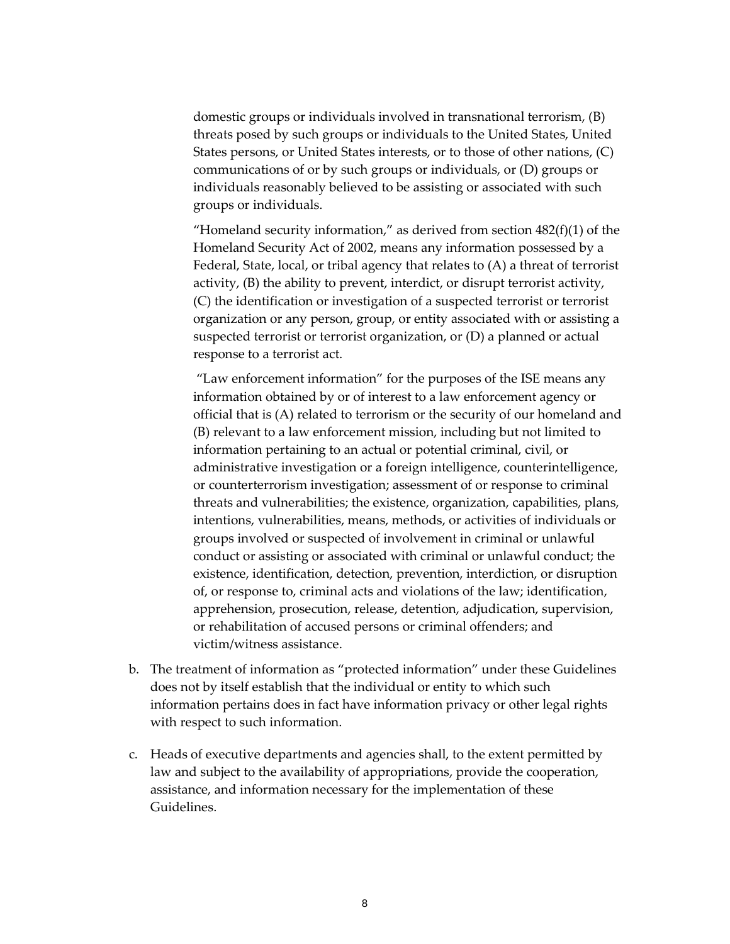domestic groups or individuals involved in transnational terrorism, (B) threats posed by such groups or individuals to the United States, United States persons, or United States interests, or to those of other nations, (C) communications of or by such groups or individuals, or (D) groups or individuals reasonably believed to be assisting or associated with such groups or individuals.

"Homeland security information," as derived from section  $482(f)(1)$  of the Homeland Security Act of 2002, means any information possessed by a Federal, State, local, or tribal agency that relates to (A) a threat of terrorist activity, (B) the ability to prevent, interdict, or disrupt terrorist activity, (C) the identification or investigation of a suspected terrorist or terrorist organization or any person, group, or entity associated with or assisting a suspected terrorist or terrorist organization, or (D) a planned or actual response to a terrorist act.

 "Law enforcement information" for the purposes of the ISE means any information obtained by or of interest to a law enforcement agency or official that is (A) related to terrorism or the security of our homeland and (B) relevant to a law enforcement mission, including but not limited to information pertaining to an actual or potential criminal, civil, or administrative investigation or a foreign intelligence, counterintelligence, or counterterrorism investigation; assessment of or response to criminal threats and vulnerabilities; the existence, organization, capabilities, plans, intentions, vulnerabilities, means, methods, or activities of individuals or groups involved or suspected of involvement in criminal or unlawful conduct or assisting or associated with criminal or unlawful conduct; the existence, identification, detection, prevention, interdiction, or disruption of, or response to, criminal acts and violations of the law; identification, apprehension, prosecution, release, detention, adjudication, supervision, or rehabilitation of accused persons or criminal offenders; and victim/witness assistance.

- b. The treatment of information as "protected information" under these Guidelines does not by itself establish that the individual or entity to which such information pertains does in fact have information privacy or other legal rights with respect to such information.
- c. Heads of executive departments and agencies shall, to the extent permitted by law and subject to the availability of appropriations, provide the cooperation, assistance, and information necessary for the implementation of these Guidelines.